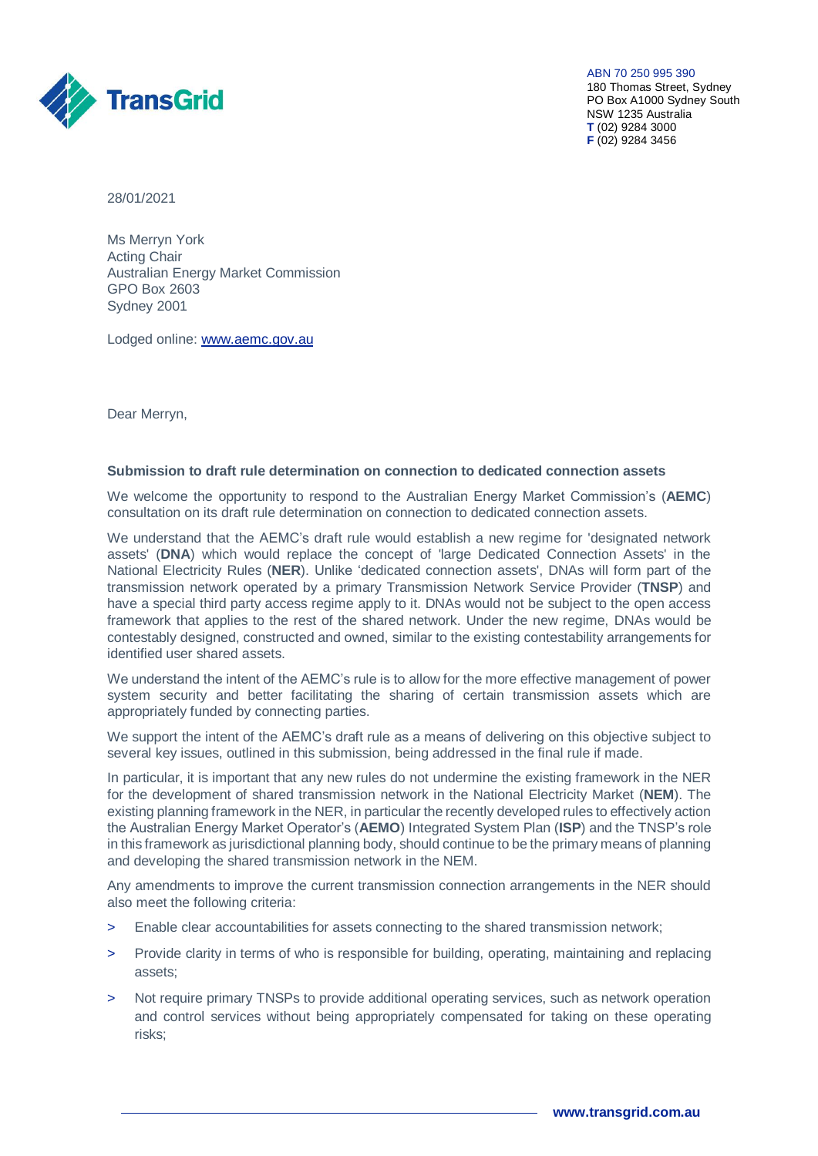

ABN 70 250 995 390 180 Thomas Street, Sydney PO Box A1000 Sydney South NSW 1235 Australia **T** (02) 9284 3000 **F** (02) 9284 3456

28/01/2021

Ms Merryn York Acting Chair Australian Energy Market Commission GPO Box 2603 Sydney 2001

Lodged online: [www.aemc.gov.au](http://www.aemc.gov.au/)

Dear Merryn,

### **Submission to draft rule determination on connection to dedicated connection assets**

We welcome the opportunity to respond to the Australian Energy Market Commission's (**AEMC**) consultation on its draft rule determination on connection to dedicated connection assets.

We understand that the AEMC's draft rule would establish a new regime for 'designated network assets' (**DNA**) which would replace the concept of 'large Dedicated Connection Assets' in the National Electricity Rules (**NER**). Unlike 'dedicated connection assets', DNAs will form part of the transmission network operated by a primary Transmission Network Service Provider (**TNSP**) and have a special third party access regime apply to it. DNAs would not be subject to the open access framework that applies to the rest of the shared network. Under the new regime, DNAs would be contestably designed, constructed and owned, similar to the existing contestability arrangements for identified user shared assets.

We understand the intent of the AEMC's rule is to allow for the more effective management of power system security and better facilitating the sharing of certain transmission assets which are appropriately funded by connecting parties.

We support the intent of the AEMC's draft rule as a means of delivering on this objective subject to several key issues, outlined in this submission, being addressed in the final rule if made.

In particular, it is important that any new rules do not undermine the existing framework in the NER for the development of shared transmission network in the National Electricity Market (**NEM**). The existing planning framework in the NER, in particular the recently developed rules to effectively action the Australian Energy Market Operator's (**AEMO**) Integrated System Plan (**ISP**) and the TNSP's role in this framework as jurisdictional planning body, should continue to be the primary means of planning and developing the shared transmission network in the NEM.

Any amendments to improve the current transmission connection arrangements in the NER should also meet the following criteria:

- > Enable clear accountabilities for assets connecting to the shared transmission network;
- > Provide clarity in terms of who is responsible for building, operating, maintaining and replacing assets;
- Not require primary TNSPs to provide additional operating services, such as network operation and control services without being appropriately compensated for taking on these operating risks;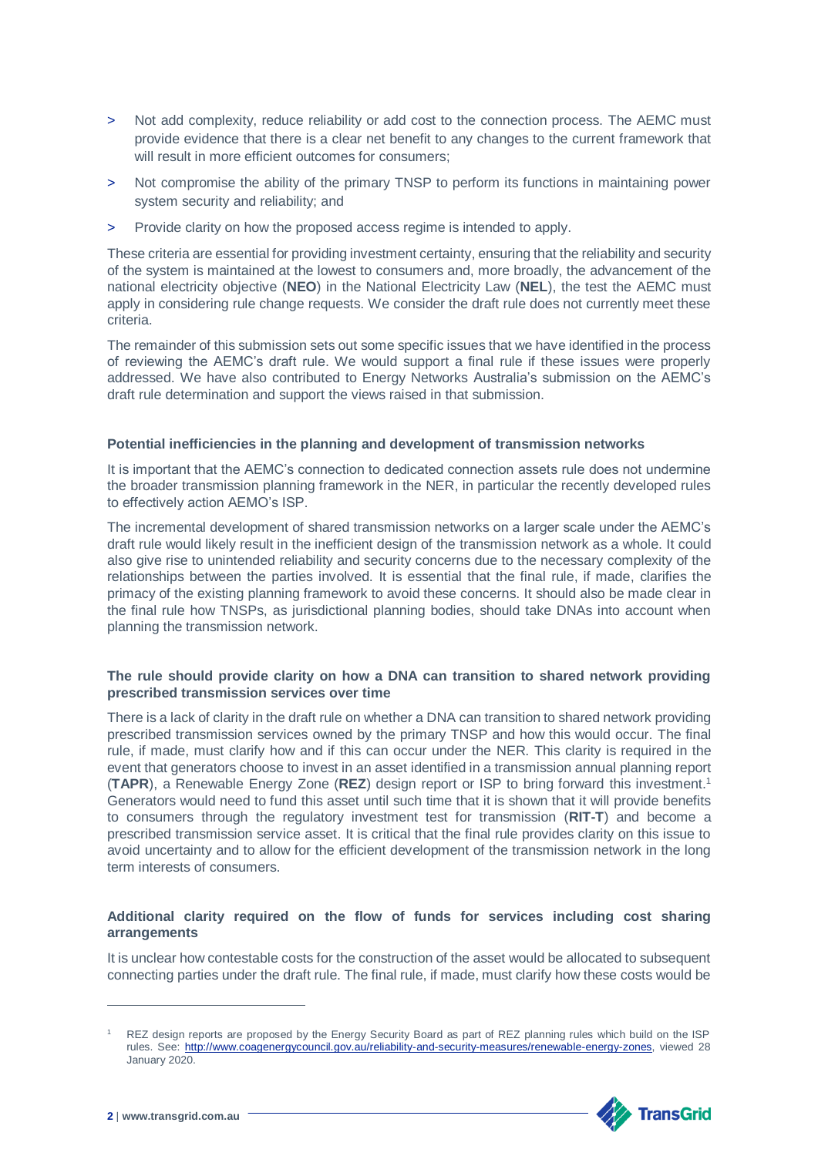- > Not add complexity, reduce reliability or add cost to the connection process. The AEMC must provide evidence that there is a clear net benefit to any changes to the current framework that will result in more efficient outcomes for consumers;
- Not compromise the ability of the primary TNSP to perform its functions in maintaining power system security and reliability; and
- Provide clarity on how the proposed access regime is intended to apply.

These criteria are essential for providing investment certainty, ensuring that the reliability and security of the system is maintained at the lowest to consumers and, more broadly, the advancement of the national electricity objective (**NEO**) in the National Electricity Law (**NEL**), the test the AEMC must apply in considering rule change requests. We consider the draft rule does not currently meet these criteria.

The remainder of this submission sets out some specific issues that we have identified in the process of reviewing the AEMC's draft rule. We would support a final rule if these issues were properly addressed. We have also contributed to Energy Networks Australia's submission on the AEMC's draft rule determination and support the views raised in that submission.

# **Potential inefficiencies in the planning and development of transmission networks**

It is important that the AEMC's connection to dedicated connection assets rule does not undermine the broader transmission planning framework in the NER, in particular the recently developed rules to effectively action AEMO's ISP.

The incremental development of shared transmission networks on a larger scale under the AEMC's draft rule would likely result in the inefficient design of the transmission network as a whole. It could also give rise to unintended reliability and security concerns due to the necessary complexity of the relationships between the parties involved. It is essential that the final rule, if made, clarifies the primacy of the existing planning framework to avoid these concerns. It should also be made clear in the final rule how TNSPs, as jurisdictional planning bodies, should take DNAs into account when planning the transmission network.

# **The rule should provide clarity on how a DNA can transition to shared network providing prescribed transmission services over time**

There is a lack of clarity in the draft rule on whether a DNA can transition to shared network providing prescribed transmission services owned by the primary TNSP and how this would occur. The final rule, if made, must clarify how and if this can occur under the NER. This clarity is required in the event that generators choose to invest in an asset identified in a transmission annual planning report (**TAPR**), a Renewable Energy Zone (**REZ**) design report or ISP to bring forward this investment.<sup>1</sup> Generators would need to fund this asset until such time that it is shown that it will provide benefits to consumers through the regulatory investment test for transmission (**RIT-T**) and become a prescribed transmission service asset. It is critical that the final rule provides clarity on this issue to avoid uncertainty and to allow for the efficient development of the transmission network in the long term interests of consumers.

# **Additional clarity required on the flow of funds for services including cost sharing arrangements**

It is unclear how contestable costs for the construction of the asset would be allocated to subsequent connecting parties under the draft rule. The final rule, if made, must clarify how these costs would be

REZ design reports are proposed by the Energy Security Board as part of REZ planning rules which build on the ISP rules. See: [http://www.coagenergycouncil.gov.au/reliability-and-security-measures/renewable-energy-zones,](http://www.coagenergycouncil.gov.au/reliability-and-security-measures/renewable-energy-zones) viewed 28 January 2020.



-